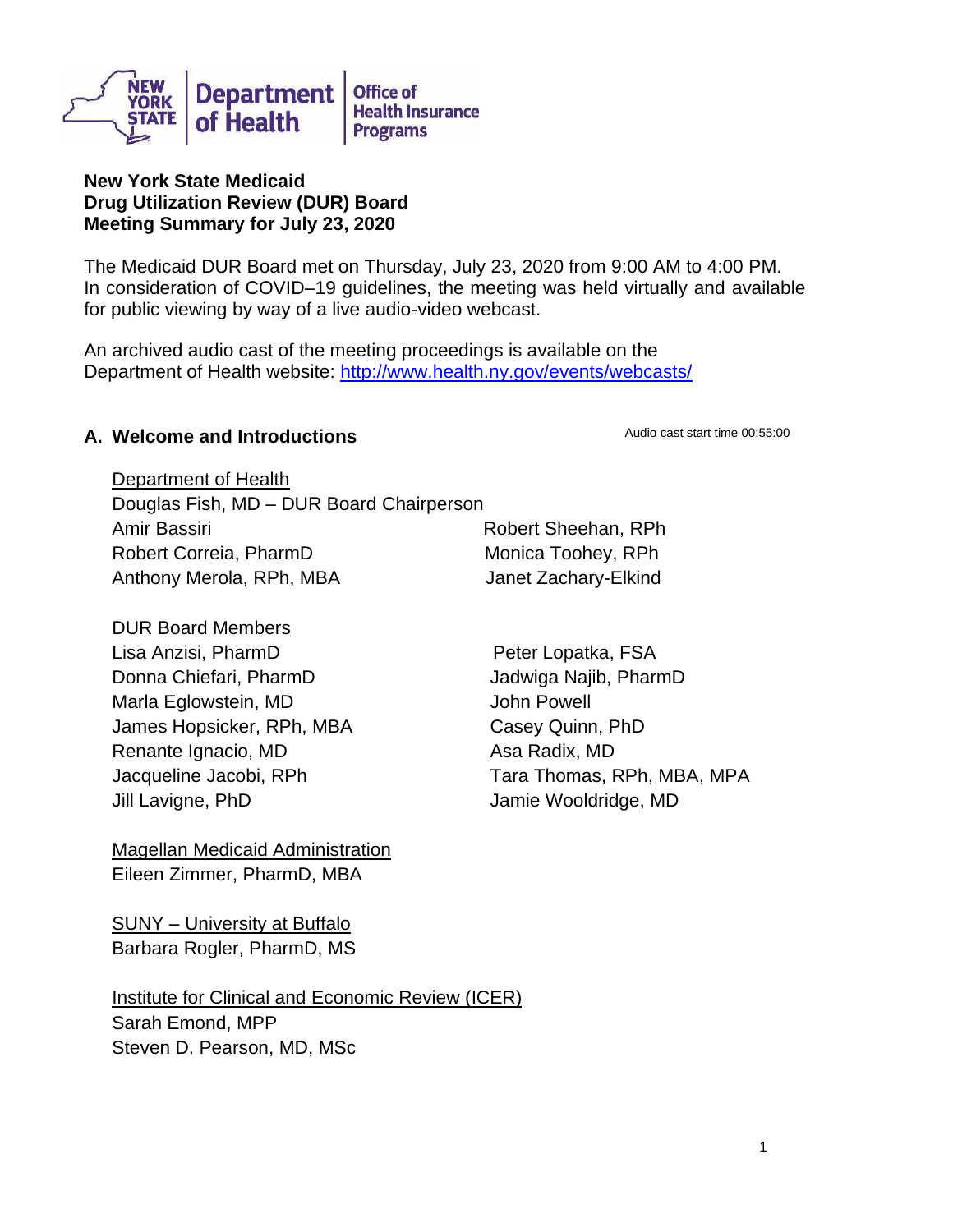

#### **New York State Medicaid Drug Utilization Review (DUR) Board Meeting Summary for July 23, 2020**

The Medicaid DUR Board met on Thursday, July 23, 2020 from 9:00 AM to 4:00 PM. In consideration of COVID–19 guidelines, the meeting was held virtually and available for public viewing by way of a live audio-video webcast.

An archived audio cast of the meeting proceedings is available on the Department of Health website: <http://www.health.ny.gov/events/webcasts/>

#### **A. Welcome and Introductions Audio cast start time 00:55:00**

Department of Health Douglas Fish, MD – DUR Board Chairperson Amir Bassiri **Robert Sheehan, RPh** Robert Correia, PharmD Monica Toohey, RPh Anthony Merola, RPh, MBA Janet Zachary-Elkind

DUR Board Members

Lisa Anzisi, PharmD Peter Lopatka, FSA Donna Chiefari, PharmD Marla Eglowstein, MD James Hopsicker, RPh, MBA Renante Ignacio, MD Jacqueline Jacobi, RPh Jill Lavigne, PhD

Magellan Medicaid Administration Eileen Zimmer, PharmD, MBA

SUNY – University at Buffalo Barbara Rogler, PharmD, MS

Institute for Clinical and Economic Review (ICER) Sarah Emond, MPP Steven D. Pearson, MD, MSc

Jadwiga Najib, PharmD John Powell Casey Quinn, PhD Asa Radix, MD Tara Thomas, RPh, MBA, MPA Jamie Wooldridge, MD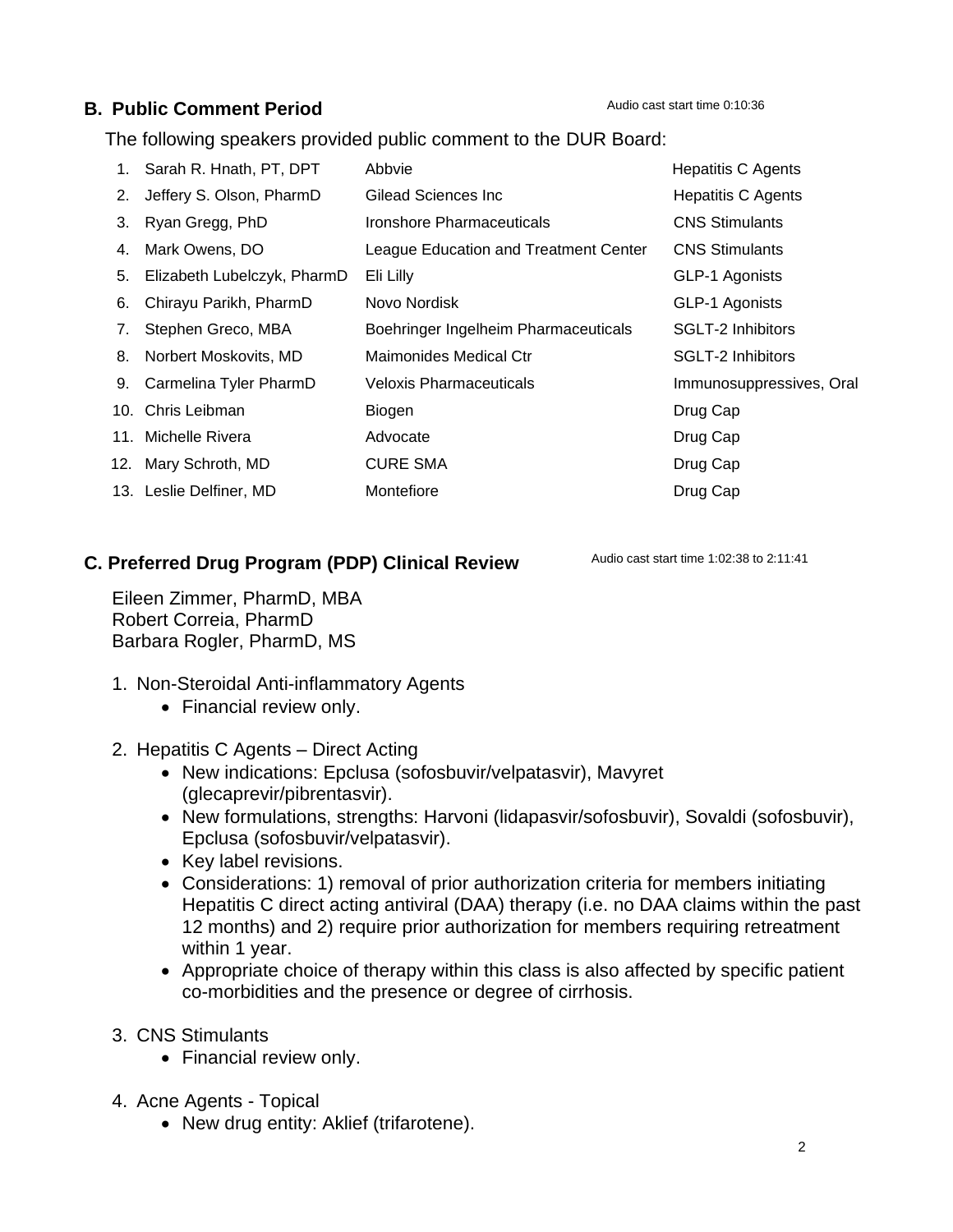### **B. Public Comment Period**

The following speakers provided public comment to the DUR Board:

| 1. | Sarah R. Hnath, PT, DPT     | Abbvie                                | <b>Hepatitis C Agents</b> |
|----|-----------------------------|---------------------------------------|---------------------------|
| 2. | Jeffery S. Olson, PharmD    | Gilead Sciences Inc.                  | <b>Hepatitis C Agents</b> |
| 3. | Ryan Gregg, PhD             | Ironshore Pharmaceuticals             | <b>CNS Stimulants</b>     |
| 4. | Mark Owens, DO              | League Education and Treatment Center | <b>CNS Stimulants</b>     |
| 5. | Elizabeth Lubelczyk, PharmD | Eli Lilly                             | GLP-1 Agonists            |
| 6. | Chirayu Parikh, PharmD      | Novo Nordisk                          | GLP-1 Agonists            |
| 7. | Stephen Greco, MBA          | Boehringer Ingelheim Pharmaceuticals  | SGLT-2 Inhibitors         |
| 8. | Norbert Moskovits, MD       | Maimonides Medical Ctr                | SGLT-2 Inhibitors         |
|    | 9. Carmelina Tyler PharmD   | <b>Veloxis Pharmaceuticals</b>        | Immunosuppressives, Oral  |
|    | 10. Chris Leibman           | Biogen                                | Drug Cap                  |
|    | 11. Michelle Rivera         | Advocate                              | Drug Cap                  |
|    | 12. Mary Schroth, MD        | <b>CURE SMA</b>                       | Drug Cap                  |
|    | 13. Leslie Delfiner, MD     | Montefiore                            | Drug Cap                  |

## **C. Preferred Drug Program (PDP) Clinical Review**

Audio cast start time 1:02:38 to 2:11:41

Eileen Zimmer, PharmD, MBA Robert Correia, PharmD Barbara Rogler, PharmD, MS

- 1. Non-Steroidal Anti-inflammatory Agents
	- Financial review only.
- 2. Hepatitis C Agents Direct Acting
	- New indications: Epclusa (sofosbuvir/velpatasvir), Mavyret (glecaprevir/pibrentasvir).
	- New formulations, strengths: Harvoni (lidapasvir/sofosbuvir), Sovaldi (sofosbuvir), Epclusa (sofosbuvir/velpatasvir).
	- Key label revisions.
	- Considerations: 1) removal of prior authorization criteria for members initiating Hepatitis C direct acting antiviral (DAA) therapy (i.e. no DAA claims within the past 12 months) and 2) require prior authorization for members requiring retreatment within 1 year.
	- Appropriate choice of therapy within this class is also affected by specific patient co-morbidities and the presence or degree of cirrhosis.
- 3. CNS Stimulants
	- Financial review only.
- 4. Acne Agents Topical
	- New drug entity: Aklief (trifarotene).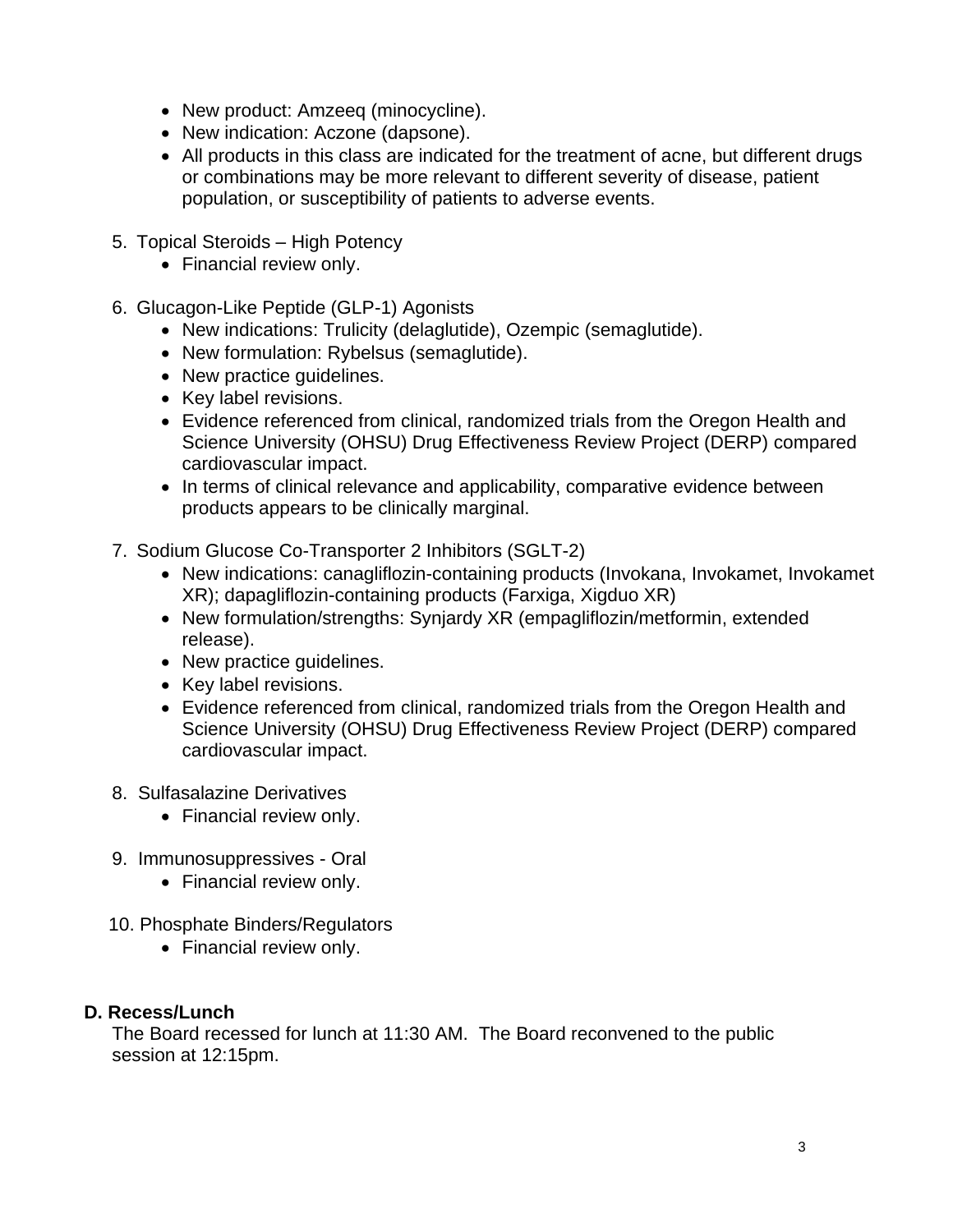- New product: Amzeeq (minocycline).
- New indication: Aczone (dapsone).
- All products in this class are indicated for the treatment of acne, but different drugs or combinations may be more relevant to different severity of disease, patient population, or susceptibility of patients to adverse events.
- 5. Topical Steroids High Potency
	- Financial review only.
- 6. Glucagon-Like Peptide (GLP-1) Agonists
	- New indications: Trulicity (delaglutide), Ozempic (semaglutide).
	- New formulation: Rybelsus (semaglutide).
	- New practice guidelines.
	- Key label revisions.
	- Evidence referenced from clinical, randomized trials from the Oregon Health and Science University (OHSU) Drug Effectiveness Review Project (DERP) compared cardiovascular impact.
	- In terms of clinical relevance and applicability, comparative evidence between products appears to be clinically marginal.
- 7. Sodium Glucose Co-Transporter 2 Inhibitors (SGLT-2)
	- New indications: canagliflozin-containing products (Invokana, Invokamet, Invokamet XR); dapagliflozin-containing products (Farxiga, Xigduo XR)
	- New formulation/strengths: Synjardy XR (empagliflozin/metformin, extended release).
	- New practice guidelines.
	- Key label revisions.
	- Evidence referenced from clinical, randomized trials from the Oregon Health and Science University (OHSU) Drug Effectiveness Review Project (DERP) compared cardiovascular impact.

### 8. Sulfasalazine Derivatives

- Financial review only.
- 9. Immunosuppressives Oral
	- Financial review only.
- 10. Phosphate Binders/Regulators
	- Financial review only.

### **D. Recess/Lunch**

The Board recessed for lunch at 11:30 AM. The Board reconvened to the public session at 12:15pm.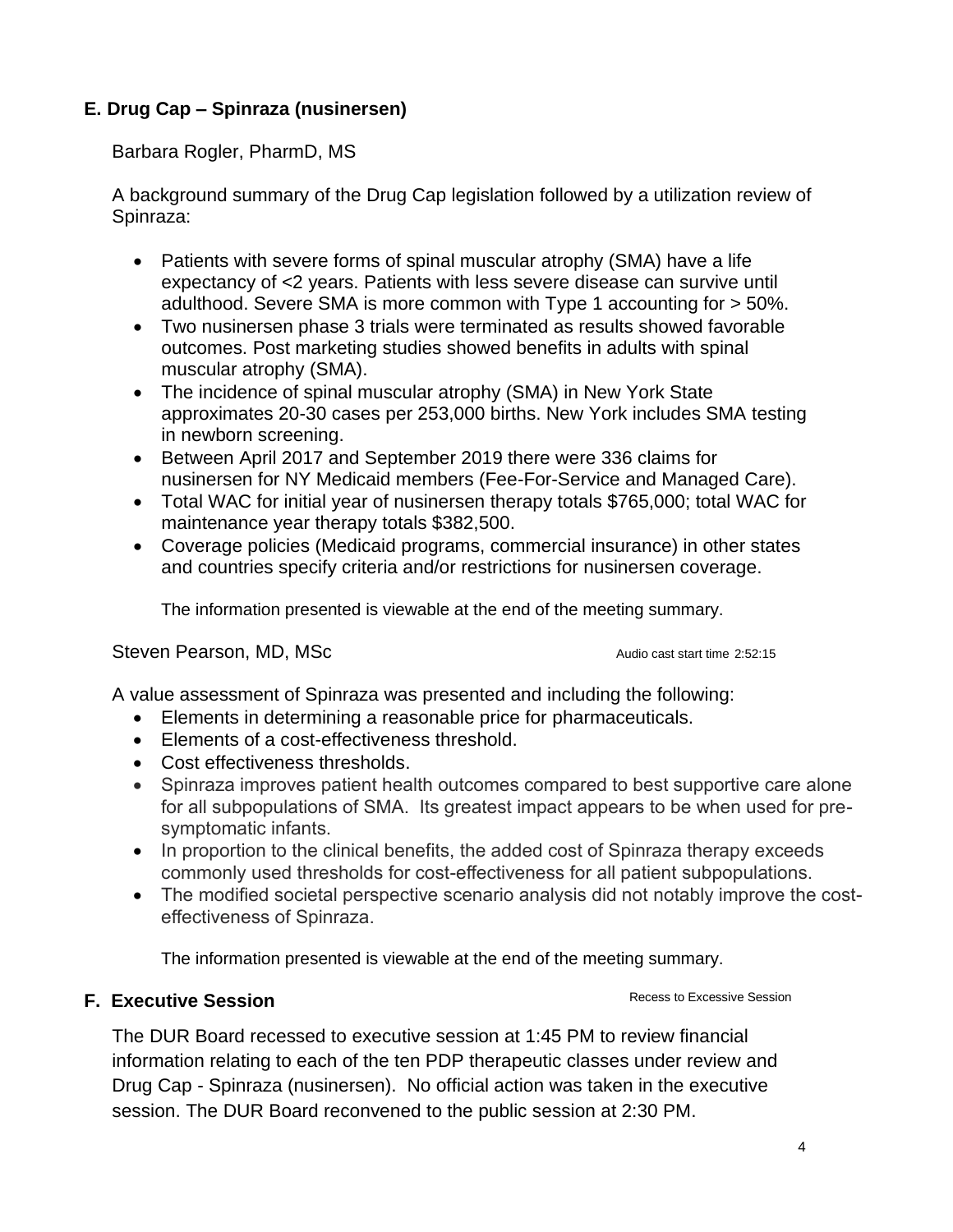## **E. Drug Cap – Spinraza (nusinersen)**

Barbara Rogler, PharmD, MS

A background summary of the Drug Cap legislation followed by a utilization review of Spinraza:

- Patients with severe forms of spinal muscular atrophy (SMA) have a life expectancy of <2 years. Patients with less severe disease can survive until adulthood. Severe SMA is more common with Type 1 accounting for > 50%.
- Two nusinersen phase 3 trials were terminated as results showed favorable outcomes. Post marketing studies showed benefits in adults with spinal muscular atrophy (SMA).
- The incidence of spinal muscular atrophy (SMA) in New York State approximates 20-30 cases per 253,000 births. New York includes SMA testing in newborn screening.
- Between April 2017 and September 2019 there were 336 claims for nusinersen for NY Medicaid members (Fee-For-Service and Managed Care).
- Total WAC for initial year of nusinersen therapy totals \$765,000; total WAC for maintenance year therapy totals \$382,500.
- Coverage policies (Medicaid programs, commercial insurance) in other states and countries specify criteria and/or restrictions for nusinersen coverage.

The information presented is viewable at the end of the meeting summary.

Steven Pearson, MD, MSc Audio cast start time 2:52:15

A value assessment of Spinraza was presented and including the following:

- Elements in determining a reasonable price for pharmaceuticals.
- Elements of a cost-effectiveness threshold.
- Cost effectiveness thresholds.
- Spinraza improves patient health outcomes compared to best supportive care alone for all subpopulations of SMA. Its greatest impact appears to be when used for presymptomatic infants.
- In proportion to the clinical benefits, the added cost of Spinraza therapy exceeds commonly used thresholds for cost-effectiveness for all patient subpopulations.
- The modified societal perspective scenario analysis did not notably improve the costeffectiveness of Spinraza.

The information presented is viewable at the end of the meeting summary.

### **F. Executive Session**

The DUR Board recessed to executive session at 1:45 PM to review financial information relating to each of the ten PDP therapeutic classes under review and Drug Cap - Spinraza (nusinersen). No official action was taken in the executive session. The DUR Board reconvened to the public session at 2:30 PM.

Recess to Excessive Session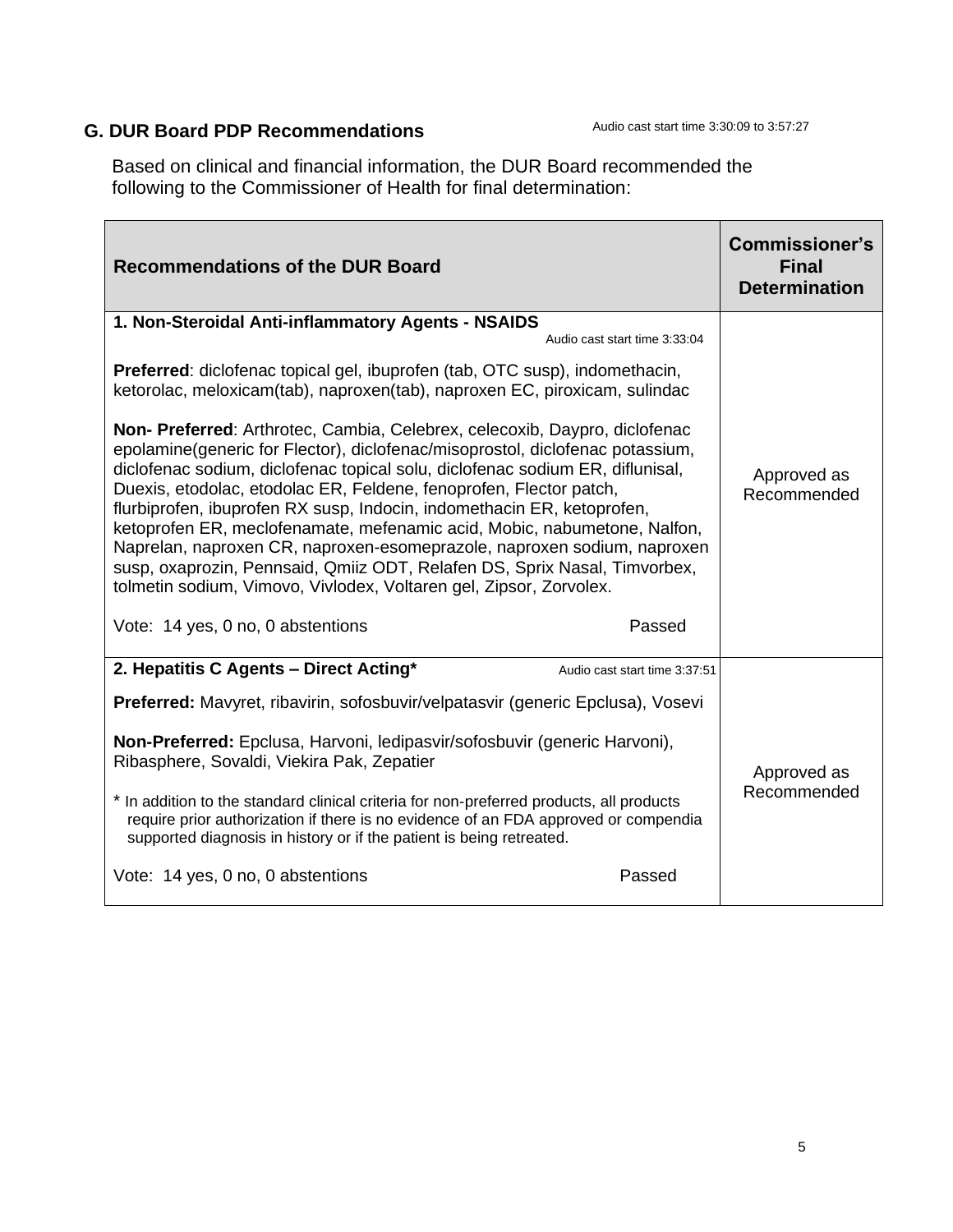# **G. DUR Board PDP Recommendations**

Based on clinical and financial information, the DUR Board recommended the following to the Commissioner of Health for final determination:

| <b>Recommendations of the DUR Board</b>                                                                                                                                                                                                                                                                                                                                                                                                                                                                                                                                                                                                                                                                                                               | <b>Commissioner's</b><br><b>Final</b><br><b>Determination</b> |
|-------------------------------------------------------------------------------------------------------------------------------------------------------------------------------------------------------------------------------------------------------------------------------------------------------------------------------------------------------------------------------------------------------------------------------------------------------------------------------------------------------------------------------------------------------------------------------------------------------------------------------------------------------------------------------------------------------------------------------------------------------|---------------------------------------------------------------|
| 1. Non-Steroidal Anti-inflammatory Agents - NSAIDS<br>Audio cast start time 3:33:04                                                                                                                                                                                                                                                                                                                                                                                                                                                                                                                                                                                                                                                                   |                                                               |
| <b>Preferred:</b> diclofenac topical gel, ibuprofen (tab, OTC susp), indomethacin,<br>ketorolac, meloxicam(tab), naproxen(tab), naproxen EC, piroxicam, sulindac                                                                                                                                                                                                                                                                                                                                                                                                                                                                                                                                                                                      |                                                               |
| Non- Preferred: Arthrotec, Cambia, Celebrex, celecoxib, Daypro, diclofenac<br>epolamine(generic for Flector), diclofenac/misoprostol, diclofenac potassium,<br>diclofenac sodium, diclofenac topical solu, diclofenac sodium ER, diflunisal,<br>Duexis, etodolac, etodolac ER, Feldene, fenoprofen, Flector patch,<br>flurbiprofen, ibuprofen RX susp, Indocin, indomethacin ER, ketoprofen,<br>ketoprofen ER, meclofenamate, mefenamic acid, Mobic, nabumetone, Nalfon,<br>Naprelan, naproxen CR, naproxen-esomeprazole, naproxen sodium, naproxen<br>susp, oxaprozin, Pennsaid, Qmiiz ODT, Relafen DS, Sprix Nasal, Timvorbex,<br>tolmetin sodium, Vimovo, Vivlodex, Voltaren gel, Zipsor, Zorvolex.<br>Passed<br>Vote: 14 yes, 0 no, 0 abstentions | Approved as<br>Recommended                                    |
| 2. Hepatitis C Agents - Direct Acting*<br>Audio cast start time 3:37:51                                                                                                                                                                                                                                                                                                                                                                                                                                                                                                                                                                                                                                                                               |                                                               |
| Preferred: Mavyret, ribavirin, sofosbuvir/velpatasvir (generic Epclusa), Vosevi                                                                                                                                                                                                                                                                                                                                                                                                                                                                                                                                                                                                                                                                       |                                                               |
| Non-Preferred: Epclusa, Harvoni, ledipasvir/sofosbuvir (generic Harvoni),<br>Ribasphere, Sovaldi, Viekira Pak, Zepatier                                                                                                                                                                                                                                                                                                                                                                                                                                                                                                                                                                                                                               | Approved as<br>Recommended                                    |
| * In addition to the standard clinical criteria for non-preferred products, all products<br>require prior authorization if there is no evidence of an FDA approved or compendia<br>supported diagnosis in history or if the patient is being retreated.                                                                                                                                                                                                                                                                                                                                                                                                                                                                                               |                                                               |
| Vote: 14 yes, 0 no, 0 abstentions<br>Passed                                                                                                                                                                                                                                                                                                                                                                                                                                                                                                                                                                                                                                                                                                           |                                                               |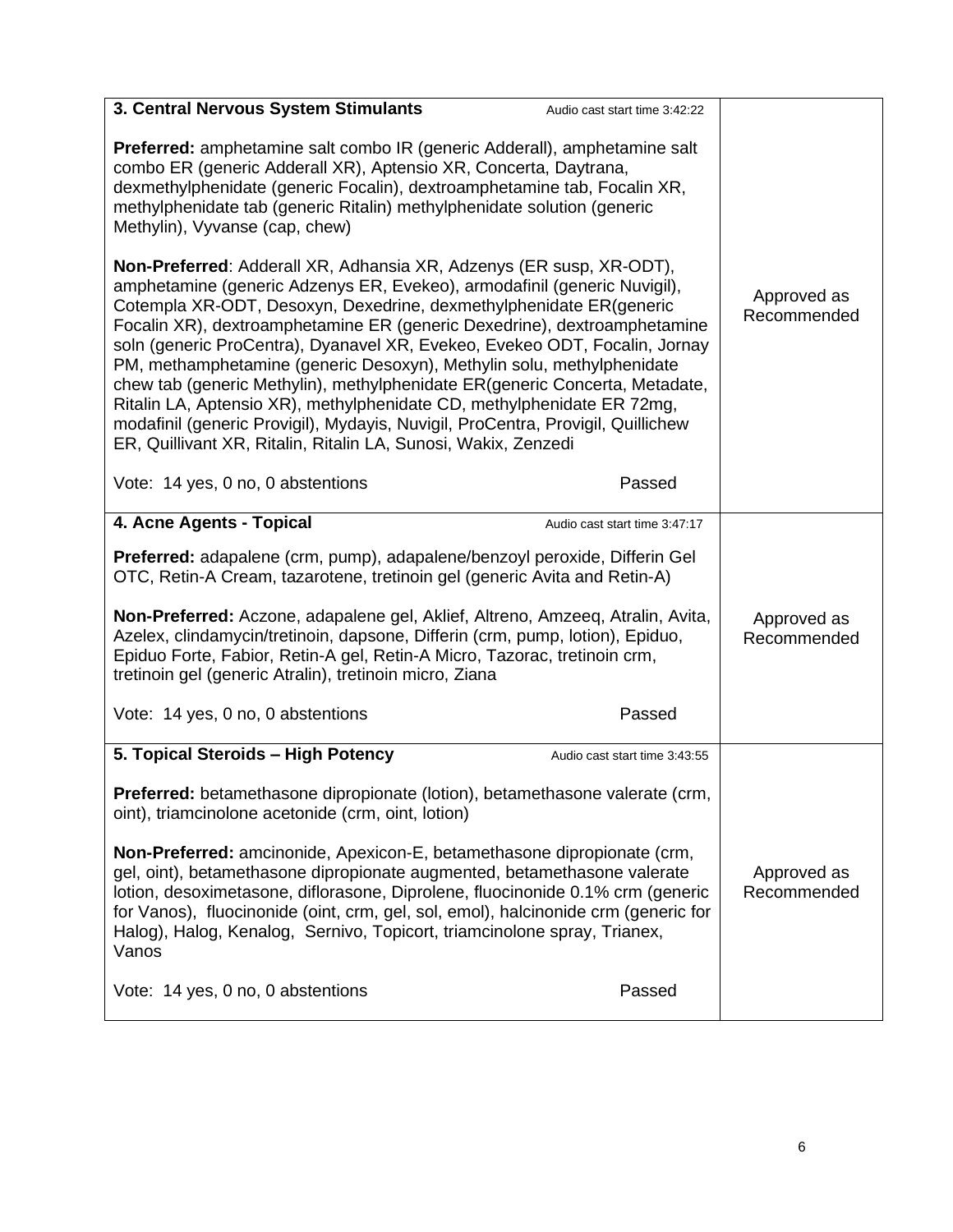| 3. Central Nervous System Stimulants                                                                                                                                                                                                                                                                                                                                                                                                                                                                                                                                                                                                                                                                                                                                          | Audio cast start time 3:42:22 |  |
|-------------------------------------------------------------------------------------------------------------------------------------------------------------------------------------------------------------------------------------------------------------------------------------------------------------------------------------------------------------------------------------------------------------------------------------------------------------------------------------------------------------------------------------------------------------------------------------------------------------------------------------------------------------------------------------------------------------------------------------------------------------------------------|-------------------------------|--|
| <b>Preferred:</b> amphetamine salt combo IR (generic Adderall), amphetamine salt<br>combo ER (generic Adderall XR), Aptensio XR, Concerta, Daytrana,<br>dexmethylphenidate (generic Focalin), dextroamphetamine tab, Focalin XR,<br>methylphenidate tab (generic Ritalin) methylphenidate solution (generic<br>Methylin), Vyvanse (cap, chew)                                                                                                                                                                                                                                                                                                                                                                                                                                 |                               |  |
| <b>Non-Preferred:</b> Adderall XR, Adhansia XR, Adzenys (ER susp, XR-ODT),<br>amphetamine (generic Adzenys ER, Evekeo), armodafinil (generic Nuvigil),<br>Cotempla XR-ODT, Desoxyn, Dexedrine, dexmethylphenidate ER(generic<br>Focalin XR), dextroamphetamine ER (generic Dexedrine), dextroamphetamine<br>soln (generic ProCentra), Dyanavel XR, Evekeo, Evekeo ODT, Focalin, Jornay<br>PM, methamphetamine (generic Desoxyn), Methylin solu, methylphenidate<br>chew tab (generic Methylin), methylphenidate ER(generic Concerta, Metadate,<br>Ritalin LA, Aptensio XR), methylphenidate CD, methylphenidate ER 72mg,<br>modafinil (generic Provigil), Mydayis, Nuvigil, ProCentra, Provigil, Quillichew<br>ER, Quillivant XR, Ritalin, Ritalin LA, Sunosi, Wakix, Zenzedi | Approved as<br>Recommended    |  |
| Vote: 14 yes, 0 no, 0 abstentions                                                                                                                                                                                                                                                                                                                                                                                                                                                                                                                                                                                                                                                                                                                                             | Passed                        |  |
| 4. Acne Agents - Topical                                                                                                                                                                                                                                                                                                                                                                                                                                                                                                                                                                                                                                                                                                                                                      | Audio cast start time 3:47:17 |  |
| Preferred: adapalene (crm, pump), adapalene/benzoyl peroxide, Differin Gel<br>OTC, Retin-A Cream, tazarotene, tretinoin gel (generic Avita and Retin-A)                                                                                                                                                                                                                                                                                                                                                                                                                                                                                                                                                                                                                       |                               |  |
| Non-Preferred: Aczone, adapalene gel, Aklief, Altreno, Amzeeq, Atralin, Avita,<br>Azelex, clindamycin/tretinoin, dapsone, Differin (crm, pump, lotion), Epiduo,<br>Epiduo Forte, Fabior, Retin-A gel, Retin-A Micro, Tazorac, tretinoin crm,<br>tretinoin gel (generic Atralin), tretinoin micro, Ziana                                                                                                                                                                                                                                                                                                                                                                                                                                                                       | Approved as<br>Recommended    |  |
| Vote: 14 yes, 0 no, 0 abstentions                                                                                                                                                                                                                                                                                                                                                                                                                                                                                                                                                                                                                                                                                                                                             | Passed                        |  |
| 5. Topical Steroids - High Potency                                                                                                                                                                                                                                                                                                                                                                                                                                                                                                                                                                                                                                                                                                                                            | Audio cast start time 3:43:55 |  |
| Preferred: betamethasone dipropionate (lotion), betamethasone valerate (crm,<br>oint), triamcinolone acetonide (crm, oint, lotion)                                                                                                                                                                                                                                                                                                                                                                                                                                                                                                                                                                                                                                            |                               |  |
| Non-Preferred: amcinonide, Apexicon-E, betamethasone dipropionate (crm,<br>gel, oint), betamethasone dipropionate augmented, betamethasone valerate<br>lotion, desoximetasone, diflorasone, Diprolene, fluocinonide 0.1% crm (generic<br>for Vanos), fluocinonide (oint, crm, gel, sol, emol), halcinonide crm (generic for<br>Halog), Halog, Kenalog, Sernivo, Topicort, triamcinolone spray, Trianex,<br>Vanos                                                                                                                                                                                                                                                                                                                                                              | Approved as<br>Recommended    |  |
| Vote: 14 yes, 0 no, 0 abstentions                                                                                                                                                                                                                                                                                                                                                                                                                                                                                                                                                                                                                                                                                                                                             | Passed                        |  |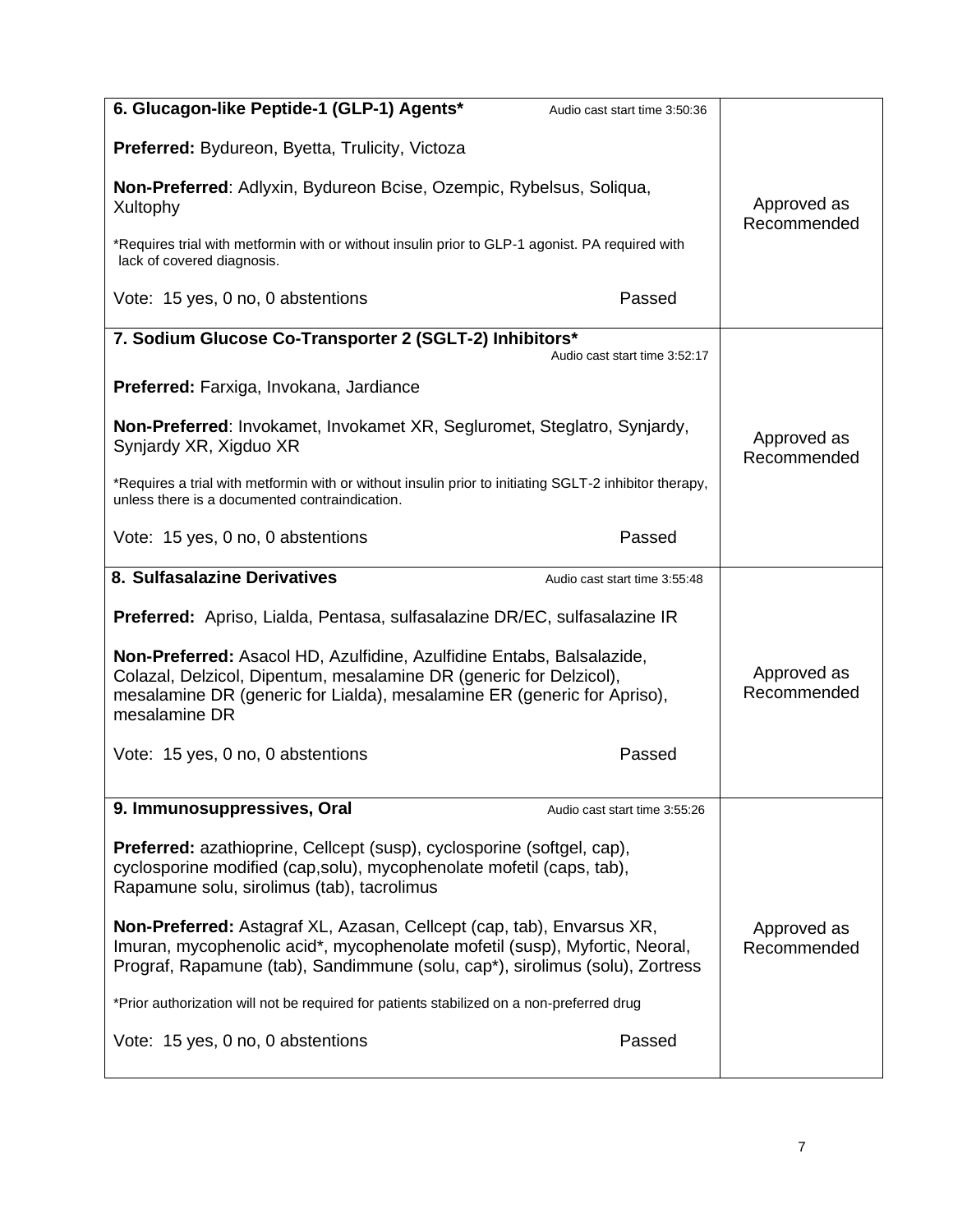| 6. Glucagon-like Peptide-1 (GLP-1) Agents*<br>Audio cast start time 3:50:36                                                                                                                                                             |                            |
|-----------------------------------------------------------------------------------------------------------------------------------------------------------------------------------------------------------------------------------------|----------------------------|
| Preferred: Bydureon, Byetta, Trulicity, Victoza                                                                                                                                                                                         |                            |
| Non-Preferred: Adlyxin, Bydureon Bcise, Ozempic, Rybelsus, Soliqua,<br>Xultophy                                                                                                                                                         | Approved as<br>Recommended |
| *Requires trial with metformin with or without insulin prior to GLP-1 agonist. PA required with<br>lack of covered diagnosis.                                                                                                           |                            |
| Vote: 15 yes, 0 no, 0 abstentions<br>Passed                                                                                                                                                                                             |                            |
| 7. Sodium Glucose Co-Transporter 2 (SGLT-2) Inhibitors*<br>Audio cast start time 3:52:17                                                                                                                                                |                            |
| Preferred: Farxiga, Invokana, Jardiance                                                                                                                                                                                                 |                            |
| Non-Preferred: Invokamet, Invokamet XR, Segluromet, Steglatro, Synjardy,<br>Synjardy XR, Xigduo XR                                                                                                                                      | Approved as<br>Recommended |
| *Requires a trial with metformin with or without insulin prior to initiating SGLT-2 inhibitor therapy,<br>unless there is a documented contraindication.                                                                                |                            |
| Passed<br>Vote: 15 yes, 0 no, 0 abstentions                                                                                                                                                                                             |                            |
| 8. Sulfasalazine Derivatives<br>Audio cast start time 3:55:48                                                                                                                                                                           |                            |
| <b>Preferred:</b> Apriso, Lialda, Pentasa, sulfasalazine DR/EC, sulfasalazine IR                                                                                                                                                        |                            |
| Non-Preferred: Asacol HD, Azulfidine, Azulfidine Entabs, Balsalazide,<br>Colazal, Delzicol, Dipentum, mesalamine DR (generic for Delzicol),<br>mesalamine DR (generic for Lialda), mesalamine ER (generic for Apriso),<br>mesalamine DR | Approved as<br>Recommended |
| Vote: 15 yes, 0 no, 0 abstentions<br>Passed                                                                                                                                                                                             |                            |
| 9. Immunosuppressives, Oral<br>Audio cast start time 3:55:26                                                                                                                                                                            |                            |
| Preferred: azathioprine, Cellcept (susp), cyclosporine (softgel, cap),<br>cyclosporine modified (cap,solu), mycophenolate mofetil (caps, tab),<br>Rapamune solu, sirolimus (tab), tacrolimus                                            |                            |
| Non-Preferred: Astagraf XL, Azasan, Cellcept (cap, tab), Envarsus XR,<br>Imuran, mycophenolic acid*, mycophenolate mofetil (susp), Myfortic, Neoral,<br>Prograf, Rapamune (tab), Sandimmune (solu, cap*), sirolimus (solu), Zortress    | Approved as<br>Recommended |
| *Prior authorization will not be required for patients stabilized on a non-preferred drug                                                                                                                                               |                            |
| Vote: 15 yes, 0 no, 0 abstentions<br>Passed                                                                                                                                                                                             |                            |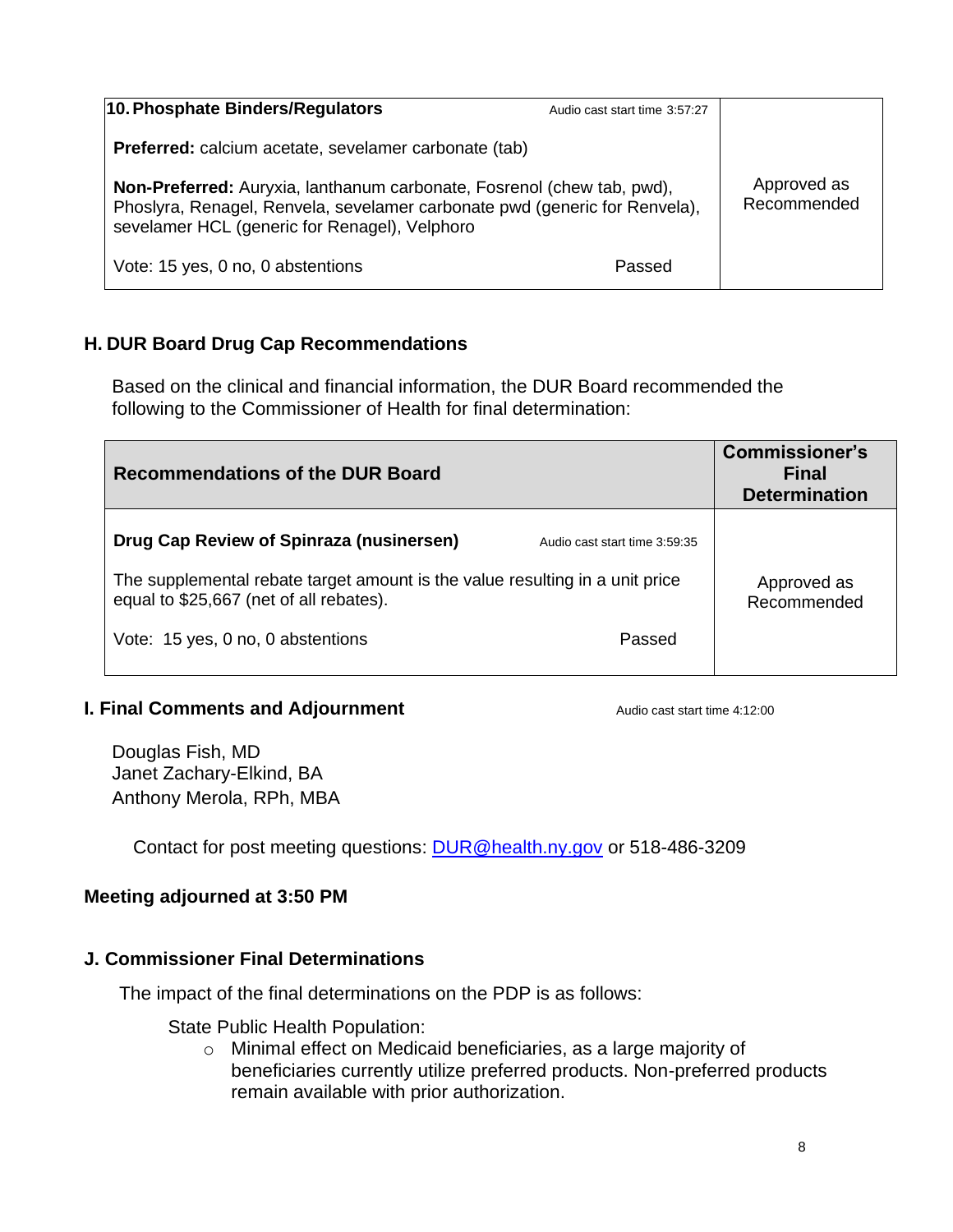| 10. Phosphate Binders/Regulators                                                                                                                                                                      | Audio cast start time 3:57:27 |                            |
|-------------------------------------------------------------------------------------------------------------------------------------------------------------------------------------------------------|-------------------------------|----------------------------|
| <b>Preferred:</b> calcium acetate, sevelamer carbonate (tab)                                                                                                                                          |                               |                            |
| Non-Preferred: Auryxia, lanthanum carbonate, Fosrenol (chew tab, pwd),<br>Phoslyra, Renagel, Renvela, sevelamer carbonate pwd (generic for Renvela),<br>sevelamer HCL (generic for Renagel), Velphoro |                               | Approved as<br>Recommended |
| Vote: 15 yes, 0 no, 0 abstentions                                                                                                                                                                     | Passed                        |                            |

# **H. DUR Board Drug Cap Recommendations**

Based on the clinical and financial information, the DUR Board recommended the following to the Commissioner of Health for final determination:

| <b>Recommendations of the DUR Board</b>                                                                                                                                                                                                             | <b>Commissioner's</b><br>Final<br><b>Determination</b> |
|-----------------------------------------------------------------------------------------------------------------------------------------------------------------------------------------------------------------------------------------------------|--------------------------------------------------------|
| Drug Cap Review of Spinraza (nusinersen)<br>Audio cast start time 3:59:35<br>The supplemental rebate target amount is the value resulting in a unit price<br>equal to \$25,667 (net of all rebates).<br>Vote: 15 yes, 0 no, 0 abstentions<br>Passed | Approved as<br>Recommended                             |

#### **I. Final Comments and Adjournment Audio cast start time 4:12:00**

Douglas Fish, MD Janet Zachary-Elkind, BA Anthony Merola, RPh, MBA

Contact for post meeting questions: [DUR@health.ny.gov](mailto:DUR@health.ny.gov) or 518-486-3209

### **Meeting adjourned at 3:50 PM**

#### **J. Commissioner Final Determinations**

The impact of the final determinations on the PDP is as follows:

State Public Health Population:

o Minimal effect on Medicaid beneficiaries, as a large majority of beneficiaries currently utilize preferred products. Non-preferred products remain available with prior authorization.